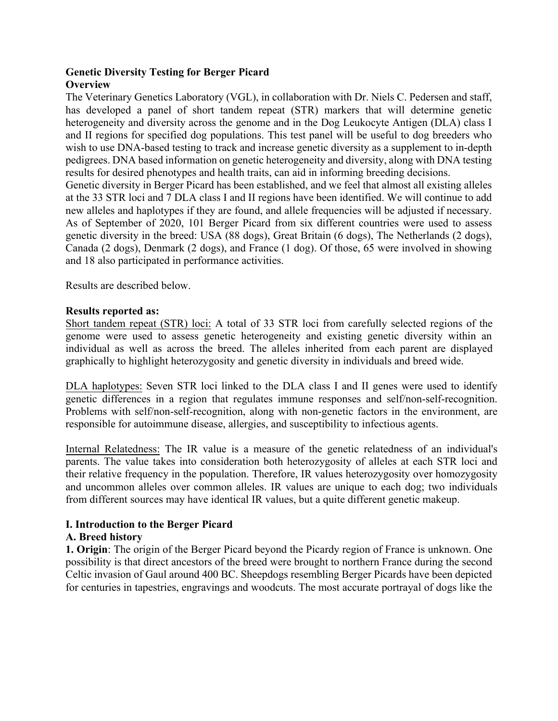## **Genetic Diversity Testing for Berger Picard Overview**

The Veterinary Genetics Laboratory (VGL), in collaboration with Dr. Niels C. Pedersen and staff, has developed a panel of short tandem repeat (STR) markers that will determine genetic heterogeneity and diversity across the genome and in the Dog Leukocyte Antigen (DLA) class I and II regions for specified dog populations. This test panel will be useful to dog breeders who wish to use DNA-based testing to track and increase genetic diversity as a supplement to in-depth pedigrees. DNA based information on genetic heterogeneity and diversity, along with DNA testing results for desired phenotypes and health traits, can aid in informing breeding decisions.

Genetic diversity in Berger Picard has been established, and we feel that almost all existing alleles at the 33 STR loci and 7 DLA class I and II regions have been identified. We will continue to add new alleles and haplotypes if they are found, and allele frequencies will be adjusted if necessary. As of September of 2020, 101 Berger Picard from six different countries were used to assess genetic diversity in the breed: USA (88 dogs), Great Britain (6 dogs), The Netherlands (2 dogs), Canada (2 dogs), Denmark (2 dogs), and France (1 dog). Of those, 65 were involved in showing and 18 also participated in performance activities.

Results are described below.

## **Results reported as:**

[Short tandem repeat \(S](https://www.vgl.ucdavis.edu/myvgl/dogsporder.html)TR) loci: A total of 33 STR loci from carefully selected regions of the genome were used to assess genetic heterogeneity and existing genetic diversity within an individual as well as across the breed. The alleles inherited from each parent are displayed graphically to highlight heterozygosity and genetic diversity in individuals and breed wide.

DLA haplotypes: Seven STR loci linked to the DLA class I and II genes were used to identify genetic differences in a region that regulates immune responses and self/non-self-recognition. Problems with self/non-self-recognition, along with non-genetic factors in the environment, are responsible for autoimmune disease, allergies, and susceptibility to infectious agents.

Internal Relatedness: The IR value is a measure of the genetic relatedness of an individual's parents. The value takes into consideration both heterozygosity of alleles at each STR loci and their relative frequency in the population. Therefore, IR values heterozygosity over homozygosity and uncommon alleles over common alleles. IR values are unique to each dog; two individuals from different sources may have identical IR values, but a quite different genetic makeup.

#### **I. Introduction to the Berger Picard**

# **A. Breed history**

**1. Origin**: The origin of the Berger Picard beyond the Picardy region of France is unknown. One possibility is that direct ancestors of the breed were brought to northern France during the second Celtic invasion of Gaul around 400 BC. Sheepdogs resembling Berger Picards have been depicted for centuries in tapestries, engravings and woodcuts. The most accurate portrayal of dogs like the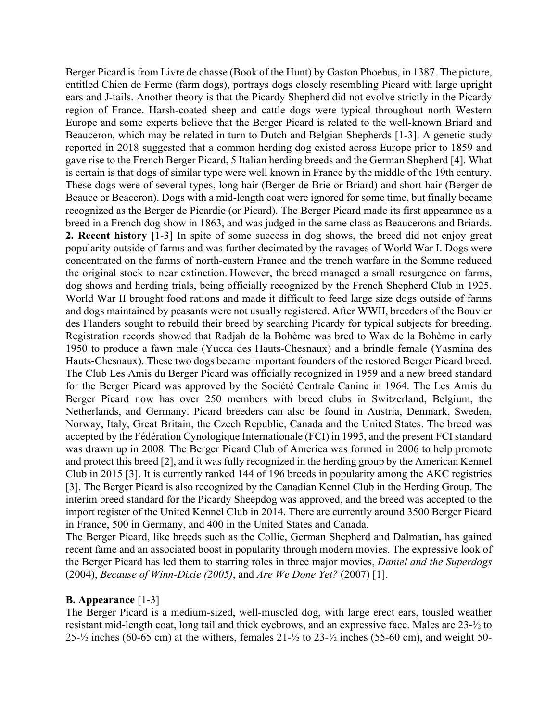Berger Picard is from Livre de chasse (Book of the Hunt) by Gaston Phoebus, in 1387. The picture, entitled Chien de Ferme (farm dogs), portrays dogs closely resembling Picard with large upright ears and J-tails. Another theory is that the Picardy Shepherd did not evolve strictly in the Picardy region of France. Harsh-coated sheep and cattle dogs were typical throughout north Western Europe and some experts believe that the Berger Picard is related to the well-known Briard and Beauceron, which may be related in turn to Dutch and Belgian Shepherds [1-3]. A genetic study reported in 2018 suggested that a common herding dog existed across Europe prior to 1859 and gave rise to the French Berger Picard, 5 Italian herding breeds and the German Shepherd [4]. What is certain is that dogs of similar type were well known in France by the middle of the 19th century. These dogs were of several types, long hair (Berger de Brie or Briard) and short hair (Berger de Beauce or Beaceron). Dogs with a mid-length coat were ignored for some time, but finally became recognized as the Berger de Picardie (or Picard). The Berger Picard made its first appearance as a breed in a French dog show in 1863, and was judged in the same class as Beaucerons and Briards. **2. Recent history [**1-3] In spite of some success in dog shows, the breed did not enjoy great popularity outside of farms and was further decimated by the ravages of World War I. Dogs were concentrated on the farms of north-eastern France and the trench warfare in the Somme reduced the original stock to near extinction. However, the breed managed a small resurgence on farms, dog shows and herding trials, being officially recognized by the French Shepherd Club in 1925. World War II brought food rations and made it difficult to feed large size dogs outside of farms and dogs maintained by peasants were not usually registered. After WWII, breeders of the Bouvier des Flanders sought to rebuild their breed by searching Picardy for typical subjects for breeding. Registration records showed that Radjah de la Bohème was bred to Wax de la Bohème in early 1950 to produce a fawn male (Yucca des Hauts-Chesnaux) and a brindle female (Yasmina des Hauts-Chesnaux). These two dogs became important founders of the restored Berger Picard breed. The Club Les Amis du Berger Picard was officially recognized in 1959 and a new breed standard for the Berger Picard was approved by the Société Centrale Canine in 1964. The Les Amis du Berger Picard now has over 250 members with breed clubs in Switzerland, Belgium, the Netherlands, and Germany. Picard breeders can also be found in Austria, Denmark, Sweden, Norway, Italy, Great Britain, the Czech Republic, Canada and the United States. The breed was accepted by the Fédération Cynologique Internationale (FCI) in 1995, and the present FCI standard was drawn up in 2008. The Berger Picard Club of America was formed in 2006 to help promote and protect this breed [2], and it was fully recognized in the herding group by the American Kennel Club in 2015 [3]. It is currently ranked 144 of 196 breeds in popularity among the AKC registries [3]. The Berger Picard is also recognized by the Canadian Kennel Club in the Herding Group. The interim breed standard for the Picardy Sheepdog was approved, and the breed was accepted to the import register of the United Kennel Club in 2014. There are currently around 3500 Berger Picard in France, 500 in Germany, and 400 in the United States and Canada.

The Berger Picard, like breeds such as the Collie, German Shepherd and Dalmatian, has gained recent fame and an associated boost in popularity through modern movies. The expressive look of the Berger Picard has led them to starring roles in three major movies, *Daniel and the Superdogs* (2004), *Because of Winn-Dixie (2005)*, and *Are We Done Yet?* (2007) [1].

#### **B. Appearance** [1-3]

The Berger Picard is a medium-sized, well-muscled dog, with large erect ears, tousled weather resistant mid-length coat, long tail and thick eyebrows, and an expressive face. Males are 23-½ to 25- $\frac{1}{2}$  inches (60-65 cm) at the withers, females 21- $\frac{1}{2}$  to 23- $\frac{1}{2}$  inches (55-60 cm), and weight 50-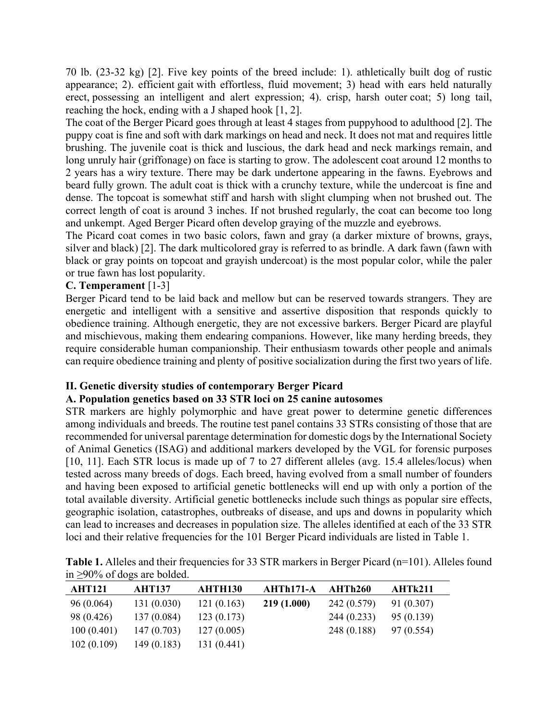70 lb. (23-32 kg) [2]. Five key points of the breed include: 1). athletically built dog of rustic appearance; 2). efficient gait with effortless, fluid movement; 3) head with ears held naturally erect, possessing an intelligent and alert expression; 4). crisp, harsh outer coat; 5) long tail, reaching the hock, ending with a J shaped hook [1, 2].

The coat of the Berger Picard goes through at least 4 stages from puppyhood to adulthood [2]. The puppy coat is fine and soft with dark markings on head and neck. It does not mat and requires little brushing. The juvenile coat is thick and luscious, the dark head and neck markings remain, and long unruly hair (griffonage) on face is starting to grow. The adolescent coat around 12 months to 2 years has a wiry texture. There may be dark undertone appearing in the fawns. Eyebrows and beard fully grown. The adult coat is thick with a crunchy texture, while the undercoat is fine and dense. The topcoat is somewhat stiff and harsh with slight clumping when not brushed out. The correct length of coat is around 3 inches. If not brushed regularly, the coat can become too long and unkempt. Aged Berger Picard often develop graying of the muzzle and eyebrows.

The Picard coat comes in two basic colors, fawn and gray (a darker mixture of browns, grays, silver and black) [2]. The dark multicolored gray is referred to as brindle. A dark fawn (fawn with black or gray points on topcoat and grayish undercoat) is the most popular color, while the paler or true fawn has lost popularity.

## **C. Temperament** [1-3]

Berger Picard tend to be laid back and mellow but can be reserved towards strangers. They are energetic and intelligent with a sensitive and assertive disposition that responds quickly to obedience training. Although energetic, they are not excessive barkers. Berger Picard are playful and mischievous, making them endearing companions. However, like many herding breeds, they require considerable human companionship. Their enthusiasm towards other people and animals can require obedience training and plenty of positive socialization during the first two years of life.

#### **II. Genetic diversity studies of contemporary Berger Picard**

#### **A. Population genetics based on 33 STR loci on 25 canine autosomes**

STR markers are highly polymorphic and have great power to determine genetic differences among individuals and breeds. The routine test panel contains 33 STRs consisting of those that are recommended for universal parentage determination for domestic dogs by the International Society of Animal Genetics (ISAG) and additional markers developed by the VGL for forensic purposes [10, 11]. Each STR locus is made up of 7 to 27 different alleles (avg. 15.4 alleles/locus) when tested across many breeds of dogs. Each breed, having evolved from a small number of founders and having been exposed to artificial genetic bottlenecks will end up with only a portion of the total available diversity. Artificial genetic bottlenecks include such things as popular sire effects, geographic isolation, catastrophes, outbreaks of disease, and ups and downs in popularity which can lead to increases and decreases in population size. The alleles identified at each of the 33 STR loci and their relative frequencies for the 101 Berger Picard individuals are listed in Table 1.

| <b>AHT121</b> | <b>AHT137</b> | <b>AHTH130</b> | AHTh171-A  | AHTh260     | AHTk211    |  |
|---------------|---------------|----------------|------------|-------------|------------|--|
| 96(0.064)     | 131 (0.030)   | 121(0.163)     | 219(1.000) | 242 (0.579) | 91 (0.307) |  |
| 98 (0.426)    | 137(0.084)    | 123(0.173)     |            | 244(0.233)  | 95 (0.139) |  |
| 100(0.401)    | 147(0.703)    | 127(0.005)     |            | 248 (0.188) | 97 (0.554) |  |
| 102(0.109)    | 149(0.183)    | 131 (0.441)    |            |             |            |  |

**Table 1.** Alleles and their frequencies for 33 STR markers in Berger Picard (n=101). Alleles found in ≥90% of dogs are bolded.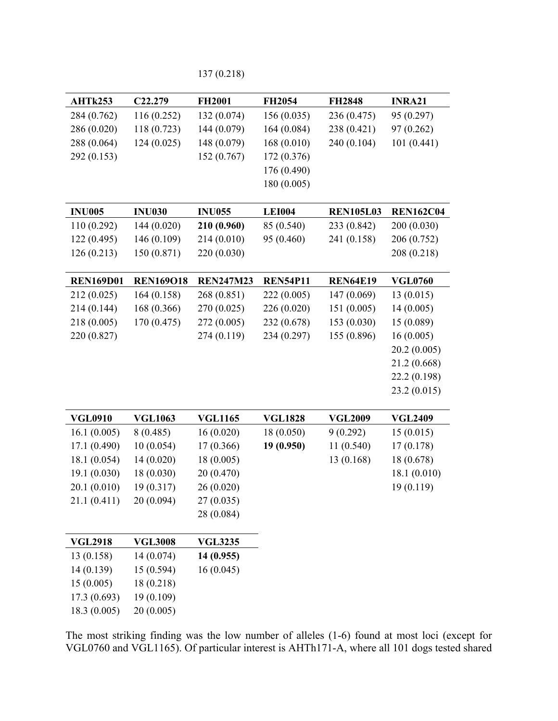137 (0.218)

| AHTk253                 | C22.279                  | <b>FH2001</b>    | <b>FH2054</b>   | <b>FH2848</b>    | <b>INRA21</b>    |
|-------------------------|--------------------------|------------------|-----------------|------------------|------------------|
| 284 (0.762)             | 116 (0.252)              | 132 (0.074)      | 156(0.035)      | 236 (0.475)      | 95 (0.297)       |
| 286 (0.020)             | 118 (0.723)              | 144 (0.079)      | 164(0.084)      | 238 (0.421)      | 97 (0.262)       |
| 288 (0.064)             | 124(0.025)               | 148 (0.079)      | 168(0.010)      | 240 (0.104)      | 101(0.441)       |
| 292 (0.153)             |                          | 152 (0.767)      | 172 (0.376)     |                  |                  |
|                         |                          |                  | 176 (0.490)     |                  |                  |
|                         |                          |                  | 180 (0.005)     |                  |                  |
|                         |                          |                  |                 |                  |                  |
| <b>INU005</b>           | <b>INU030</b>            | <b>INU055</b>    | <b>LEI004</b>   | <b>REN105L03</b> | <b>REN162C04</b> |
| 110 (0.292)             | 144 (0.020)              | 210 (0.960)      | 85 (0.540)      | 233 (0.842)      | 200 (0.030)      |
| 122(0.495)              | 146 (0.109)              | 214 (0.010)      | 95 (0.460)      | 241 (0.158)      | 206 (0.752)      |
| 126(0.213)              | 150 (0.871)              | 220 (0.030)      |                 |                  | 208 (0.218)      |
|                         |                          |                  |                 |                  |                  |
| <b>REN169D01</b>        | <b>REN169O18</b>         | <b>REN247M23</b> | <b>REN54P11</b> | <b>REN64E19</b>  | <b>VGL0760</b>   |
| 212(0.025)              | 164(0.158)               | 268 (0.851)      | 222 (0.005)     | 147 (0.069)      | 13(0.015)        |
| 214 (0.144)             | 168 (0.366)              | 270 (0.025)      | 226 (0.020)     | 151(0.005)       | 14(0.005)        |
| 218 (0.005)             | 170 (0.475)              | 272 (0.005)      | 232 (0.678)     | 153(0.030)       | 15(0.089)        |
| 220 (0.827)             |                          | 274 (0.119)      | 234 (0.297)     | 155 (0.896)      | 16(0.005)        |
|                         |                          |                  |                 |                  | 20.2(0.005)      |
|                         |                          |                  |                 |                  | 21.2 (0.668)     |
|                         |                          |                  |                 |                  | 22.2 (0.198)     |
|                         |                          |                  |                 |                  | 23.2(0.015)      |
|                         |                          |                  |                 |                  |                  |
| <b>VGL0910</b>          | <b>VGL1063</b>           | <b>VGL1165</b>   | <b>VGL1828</b>  | <b>VGL2009</b>   | <b>VGL2409</b>   |
| 16.1(0.005)             | 8(0.485)                 | 16(0.020)        | 18(0.050)       | 9(0.292)         | 15(0.015)        |
| 17.1 (0.490)            | 10(0.054)                | 17 (0.366)       | 19(0.950)       | 11(0.540)        | 17 (0.178)       |
| 18.1 (0.054)            | 14 (0.020)               | 18(0.005)        |                 | 13 (0.168)       | 18 (0.678)       |
| 19.1 (0.030)            | 18 (0.030)               | 20 (0.470)       |                 |                  | 18.1 (0.010)     |
| 20.1 (0.010)            | 19 (0.317)               | 26(0.020)        |                 |                  | 19 (0.119)       |
| 21.1 (0.411)            | 20(0.094)                | 27(0.035)        |                 |                  |                  |
|                         |                          | 28 (0.084)       |                 |                  |                  |
|                         |                          |                  |                 |                  |                  |
| <b>VGL2918</b>          | <b>VGL3008</b>           | <b>VGL3235</b>   |                 |                  |                  |
| 13 (0.158)              | 14 (0.074)<br>15 (0.594) | 14 (0.955)       |                 |                  |                  |
| 14 (0.139)<br>15(0.005) | 18 (0.218)               | 16(0.045)        |                 |                  |                  |
| 17.3 (0.693)            | 19 (0.109)               |                  |                 |                  |                  |
|                         |                          |                  |                 |                  |                  |
| 18.3 (0.005)            | 20(0.005)                |                  |                 |                  |                  |

The most striking finding was the low number of alleles (1-6) found at most loci (except for VGL0760 and VGL1165). Of particular interest is AHTh171-A, where all 101 dogs tested shared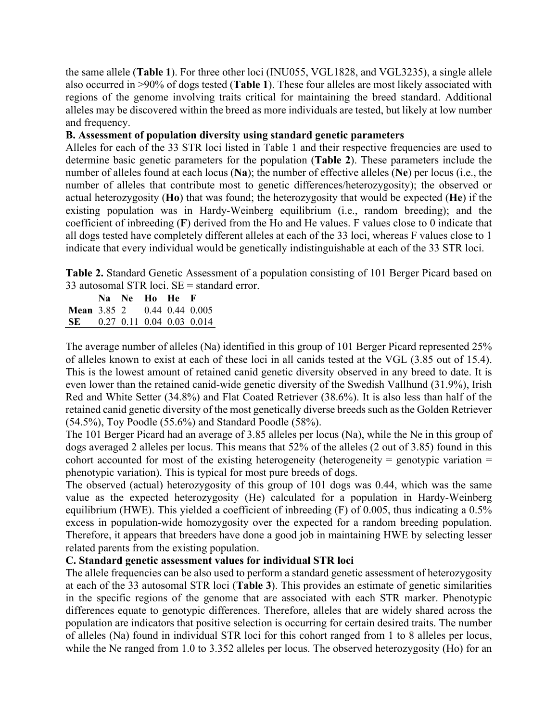the same allele (**Table 1**). For three other loci (INU055, VGL1828, and VGL3235), a single allele also occurred in >90% of dogs tested (**Table 1**). These four alleles are most likely associated with regions of the genome involving traits critical for maintaining the breed standard. Additional alleles may be discovered within the breed as more individuals are tested, but likely at low number and frequency.

## **B. Assessment of population diversity using standard genetic parameters**

Alleles for each of the 33 STR loci listed in Table 1 and their respective frequencies are used to determine basic genetic parameters for the population (**Table 2**). These parameters include the number of alleles found at each locus (**Na**); the number of effective alleles (**Ne**) per locus (i.e., the number of alleles that contribute most to genetic differences/heterozygosity); the observed or actual heterozygosity (**Ho**) that was found; the heterozygosity that would be expected (**He**) if the existing population was in Hardy-Weinberg equilibrium (i.e., random breeding); and the coefficient of inbreeding (**F**) derived from the Ho and He values. F values close to 0 indicate that all dogs tested have completely different alleles at each of the 33 loci, whereas F values close to 1 indicate that every individual would be genetically indistinguishable at each of the 33 STR loci.

**Table 2.** Standard Genetic Assessment of a population consisting of 101 Berger Picard based on 33 autosomal STR loci.  $SE =$  standard error.

|                                    |  | Na Ne Ho He F |                             |
|------------------------------------|--|---------------|-----------------------------|
| <b>Mean</b> 3.85 2 0.44 0.44 0.005 |  |               |                             |
| SE -                               |  |               | $0.27$ 0.11 0.04 0.03 0.014 |

The average number of alleles (Na) identified in this group of 101 Berger Picard represented 25% of alleles known to exist at each of these loci in all canids tested at the VGL (3.85 out of 15.4). This is the lowest amount of retained canid genetic diversity observed in any breed to date. It is even lower than the retained canid-wide genetic diversity of the Swedish Vallhund (31.9%), Irish Red and White Setter (34.8%) and Flat Coated Retriever (38.6%). It is also less than half of the retained canid genetic diversity of the most genetically diverse breeds such as the Golden Retriever (54.5%), Toy Poodle (55.6%) and Standard Poodle (58%).

The 101 Berger Picard had an average of 3.85 alleles per locus (Na), while the Ne in this group of dogs averaged 2 alleles per locus. This means that 52% of the alleles (2 out of 3.85) found in this cohort accounted for most of the existing heterogeneity (heterogeneity = genotypic variation = phenotypic variation). This is typical for most pure breeds of dogs.

The observed (actual) heterozygosity of this group of 101 dogs was 0.44, which was the same value as the expected heterozygosity (He) calculated for a population in Hardy-Weinberg equilibrium (HWE). This yielded a coefficient of inbreeding (F) of 0.005, thus indicating a 0.5% excess in population-wide homozygosity over the expected for a random breeding population. Therefore, it appears that breeders have done a good job in maintaining HWE by selecting lesser related parents from the existing population.

# **C. Standard genetic assessment values for individual STR loci**

The allele frequencies can be also used to perform a standard genetic assessment of heterozygosity at each of the 33 autosomal STR loci (**Table 3**). This provides an estimate of genetic similarities in the specific regions of the genome that are associated with each STR marker. Phenotypic differences equate to genotypic differences. Therefore, alleles that are widely shared across the population are indicators that positive selection is occurring for certain desired traits. The number of alleles (Na) found in individual STR loci for this cohort ranged from 1 to 8 alleles per locus, while the Ne ranged from 1.0 to 3.352 alleles per locus. The observed heterozygosity (Ho) for an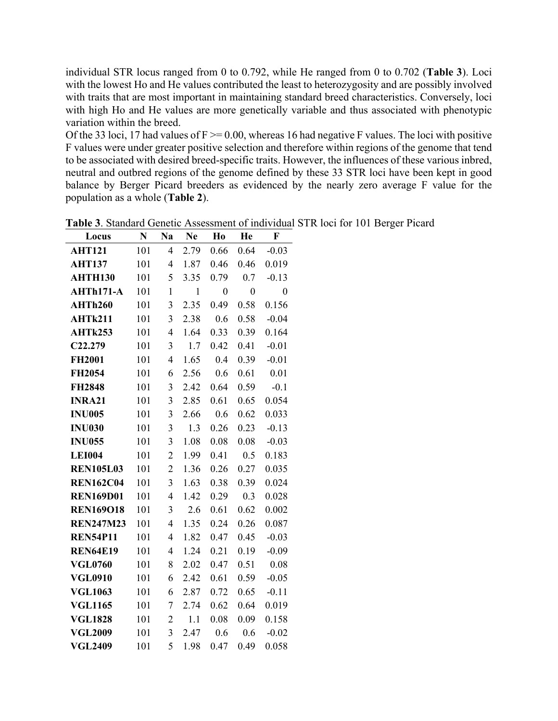individual STR locus ranged from 0 to 0.792, while He ranged from 0 to 0.702 (**Table 3**). Loci with the lowest Ho and He values contributed the least to heterozygosity and are possibly involved with traits that are most important in maintaining standard breed characteristics. Conversely, loci with high Ho and He values are more genetically variable and thus associated with phenotypic variation within the breed.

Of the 33 loci, 17 had values of  $F \ge 0.00$ , whereas 16 had negative F values. The loci with positive F values were under greater positive selection and therefore within regions of the genome that tend to be associated with desired breed-specific traits. However, the influences of these various inbred, neutral and outbred regions of the genome defined by these 33 STR loci have been kept in good balance by Berger Picard breeders as evidenced by the nearly zero average F value for the population as a whole (**Table 2**).

| Locus            | N   | Na             | Ne           | Ho               | He               | F                |
|------------------|-----|----------------|--------------|------------------|------------------|------------------|
| <b>AHT121</b>    | 101 | 4              | 2.79         | 0.66             | 0.64             | $-0.03$          |
| <b>AHT137</b>    | 101 | 4              | 1.87         | 0.46             | 0.46             | 0.019            |
| <b>AHTH130</b>   | 101 | 5              | 3.35         | 0.79             | 0.7              | $-0.13$          |
| AHTh171-A        | 101 | $\mathbf{1}$   | $\mathbf{1}$ | $\boldsymbol{0}$ | $\boldsymbol{0}$ | $\boldsymbol{0}$ |
| AHTh260          | 101 | 3              | 2.35         | 0.49             | 0.58             | 0.156            |
| AHTk211          | 101 | 3              | 2.38         | 0.6              | 0.58             | $-0.04$          |
| AHTk253          | 101 | $\overline{4}$ | 1.64         | 0.33             | 0.39             | 0.164            |
| C22.279          | 101 | 3              | 1.7          | 0.42             | 0.41             | $-0.01$          |
| <b>FH2001</b>    | 101 | $\overline{4}$ | 1.65         | 0.4              | 0.39             | $-0.01$          |
| FH2054           | 101 | 6              | 2.56         | 0.6              | 0.61             | 0.01             |
| <b>FH2848</b>    | 101 | 3              | 2.42         | 0.64             | 0.59             | $-0.1$           |
| <b>INRA21</b>    | 101 | 3              | 2.85         | 0.61             | 0.65             | 0.054            |
| <b>INU005</b>    | 101 | 3              | 2.66         | 0.6              | 0.62             | 0.033            |
| <b>INU030</b>    | 101 | 3              | 1.3          | 0.26             | 0.23             | $-0.13$          |
| <b>INU055</b>    | 101 | 3              | 1.08         | 0.08             | 0.08             | $-0.03$          |
| <b>LEI004</b>    | 101 | $\overline{2}$ | 1.99         | 0.41             | 0.5              | 0.183            |
| <b>REN105L03</b> | 101 | $\overline{c}$ | 1.36         | 0.26             | 0.27             | 0.035            |
| <b>REN162C04</b> | 101 | 3              | 1.63         | 0.38             | 0.39             | 0.024            |
| <b>REN169D01</b> | 101 | $\overline{4}$ | 1.42         | 0.29             | 0.3              | 0.028            |
| <b>REN169O18</b> | 101 | 3              | 2.6          | 0.61             | 0.62             | 0.002            |
| <b>REN247M23</b> | 101 | $\overline{4}$ | 1.35         | 0.24             | 0.26             | 0.087            |
| <b>REN54P11</b>  | 101 | $\overline{4}$ | 1.82         | 0.47             | 0.45             | $-0.03$          |
| <b>REN64E19</b>  | 101 | $\overline{4}$ | 1.24         | 0.21             | 0.19             | $-0.09$          |
| <b>VGL0760</b>   | 101 | 8              | 2.02         | 0.47             | 0.51             | 0.08             |
| <b>VGL0910</b>   | 101 | 6              | 2.42         | 0.61             | 0.59             | $-0.05$          |
| <b>VGL1063</b>   | 101 | 6              | 2.87         | 0.72             | 0.65             | $-0.11$          |
| <b>VGL1165</b>   | 101 | 7              | 2.74         | 0.62             | 0.64             | 0.019            |
| <b>VGL1828</b>   | 101 | $\overline{c}$ | 1.1          | 0.08             | 0.09             | 0.158            |
| <b>VGL2009</b>   | 101 | $\overline{3}$ | 2.47         | 0.6              | 0.6              | $-0.02$          |
| <b>VGL2409</b>   | 101 | 5              | 1.98         | 0.47             | 0.49             | 0.058            |

**Table 3**. Standard Genetic Assessment of individual STR loci for 101 Berger Picard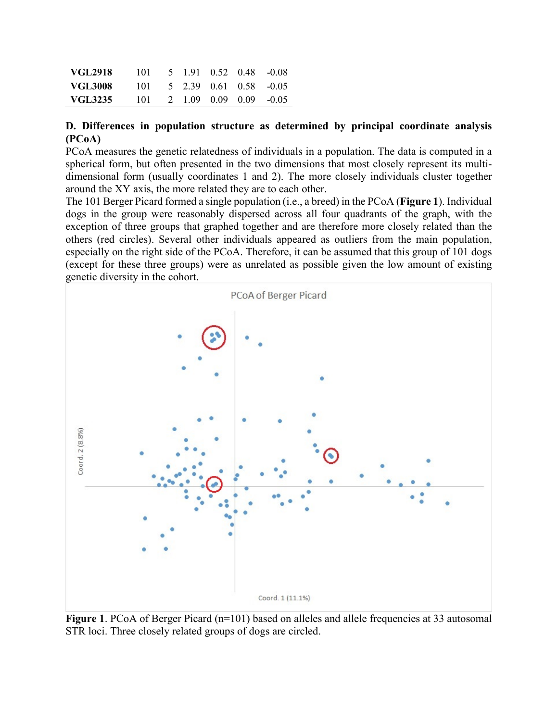| <b>VGL2918</b> | 101  |  | 5 1.91 0.52 0.48 -0.08 |  |
|----------------|------|--|------------------------|--|
| <b>VGL3008</b> | 101. |  | 5 2.39 0.61 0.58 -0.05 |  |
| VGL3235        | 101  |  | 2 1.09 0.09 0.09 -0.05 |  |

#### **D. Differences in population structure as determined by principal coordinate analysis (PCoA)**

PCoA measures the genetic relatedness of individuals in a population. The data is computed in a spherical form, but often presented in the two dimensions that most closely represent its multidimensional form (usually coordinates 1 and 2). The more closely individuals cluster together around the XY axis, the more related they are to each other.

The 101 Berger Picard formed a single population (i.e., a breed) in the PCoA (**Figure 1**). Individual dogs in the group were reasonably dispersed across all four quadrants of the graph, with the exception of three groups that graphed together and are therefore more closely related than the others (red circles). Several other individuals appeared as outliers from the main population, especially on the right side of the PCoA. Therefore, it can be assumed that this group of 101 dogs (except for these three groups) were as unrelated as possible given the low amount of existing genetic diversity in the cohort.



**Figure** 1. PCoA of Berger Picard (n=101) based on alleles and allele frequencies at 33 autosomal STR loci. Three closely related groups of dogs are circled.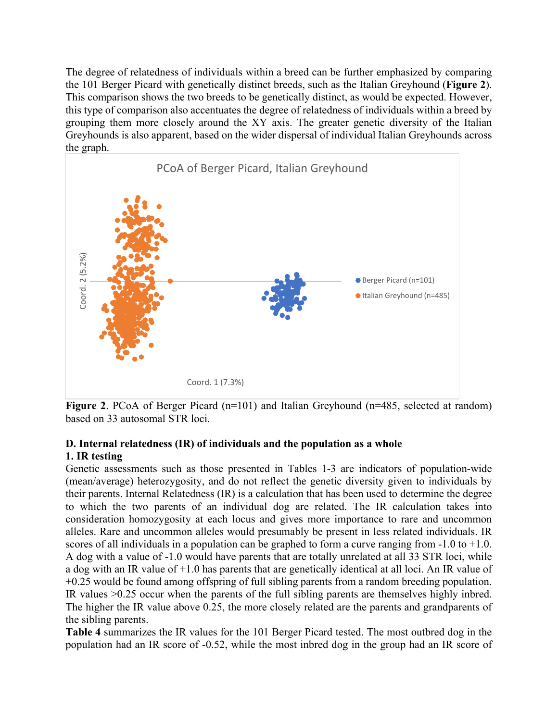The degree of relatedness of individuals within a breed can be further emphasized by comparing the 101 Berger Picard with genetically distinct breeds, such as the Italian Greyhound (**Figure 2**). This comparison shows the two breeds to be genetically distinct, as would be expected. However, this type of comparison also accentuates the degree of relatedness of individuals within a breed by grouping them more closely around the XY axis. The greater genetic diversity of the Italian Greyhounds is also apparent, based on the wider dispersal of individual Italian Greyhounds across the graph.



**Figure 2.** PCoA of Berger Picard (n=101) and Italian Greyhound (n=485, selected at random) based on 33 autosomal STR loci.

# **D. Internal relatedness (IR) of individuals and the population as a whole 1. IR testing**

Genetic assessments such as those presented in Tables 1-3 are indicators of population-wide (mean/average) heterozygosity, and do not reflect the genetic diversity given to individuals by their parents. Internal Relatedness (IR) is a calculation that has been used to determine the degree to which the two parents of an individual dog are related. The IR calculation takes into consideration homozygosity at each locus and gives more importance to rare and uncommon alleles. Rare and uncommon alleles would presumably be present in less related individuals. IR scores of all individuals in a population can be graphed to form a curve ranging from  $-1.0$  to  $+1.0$ . A dog with a value of -1.0 would have parents that are totally unrelated at all 33 STR loci, while a dog with an IR value of +1.0 has parents that are genetically identical at all loci. An IR value of +0.25 would be found among offspring of full sibling parents from a random breeding population. IR values >0.25 occur when the parents of the full sibling parents are themselves highly inbred. The higher the IR value above 0.25, the more closely related are the parents and grandparents of the sibling parents. **Population 1991**<br> **Example 2.** PCoA of Berger Pieard (n=101) and Italian Greyhound (n=485, scloeted at random)<br> **Example 2.** PCoA of Berger Fieard (n=101) and Italian Greyhound (n=485, scloeted at random)<br> **Example 2.** P

**Table 4** summarizes the IR values for the 101 Berger Picard tested. The most outbred dog in the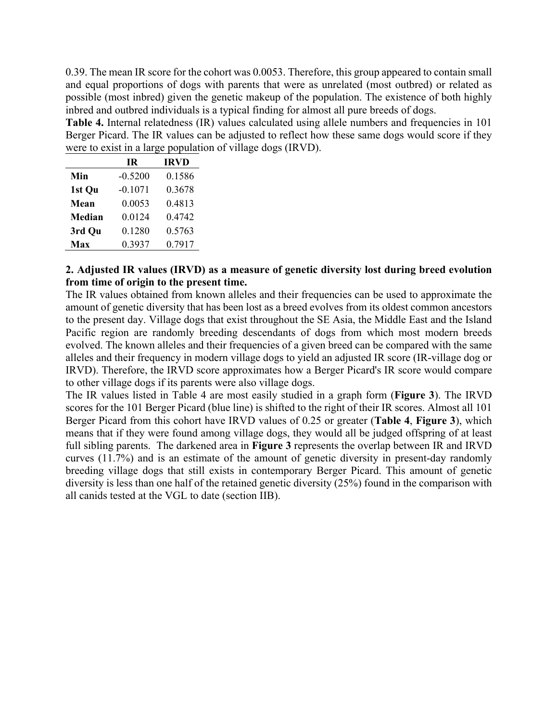0.39. The mean IR score for the cohort was 0.0053. Therefore, this group appeared to contain small and equal proportions of dogs with parents that were as unrelated (most outbred) or related as possible (most inbred) given the genetic makeup of the population. The existence of both highly inbred and outbred individuals is a typical finding for almost all pure breeds of dogs.

Table 4. Internal relatedness (IR) values calculated using allele numbers and frequencies in 101 Berger Picard. The IR values can be adjusted to reflect how these same dogs would score if they were to exist in a large population of village dogs (IRVD).

|               | ΙR        | <b>IRVD</b> |
|---------------|-----------|-------------|
| Min           | $-0.5200$ | 0.1586      |
| 1st Qu        | $-0.1071$ | 0.3678      |
| Mean          | 0.0053    | 0.4813      |
| <b>Median</b> | 0.0124    | 0.4742      |
| 3rd Qu        | 0.1280    | 0.5763      |
| Max           | 0.3937    | 0.7917      |

## **2. Adjusted IR values (IRVD) as a measure of genetic diversity lost during breed evolution from time of origin to the present time.**

The IR values obtained from known alleles and their frequencies can be used to approximate the amount of genetic diversity that has been lost as a breed evolves from its oldest common ancestors to the present day. Village dogs that exist throughout the SE Asia, the Middle East and the Island Pacific region are randomly breeding descendants of dogs from which most modern breeds evolved. The known alleles and their frequencies of a given breed can be compared with the same alleles and their frequency in modern village dogs to yield an adjusted IR score (IR-village dog or IRVD). Therefore, the IRVD score approximates how a Berger Picard's IR score would compare to other village dogs if its parents were also village dogs.

The IR values listed in Table 4 are most easily studied in a graph form (**Figure 3**). The IRVD scores for the 101 Berger Picard (blue line) is shifted to the right of their IR scores. Almost all 101 Berger Picard from this cohort have IRVD values of 0.25 or greater (**Table 4**, **Figure 3**), which means that if they were found among village dogs, they would all be judged offspring of at least full sibling parents. The darkened area in **Figure 3** represents the overlap between IR and IRVD curves (11.7%) and is an estimate of the amount of genetic diversity in present-day randomly breeding village dogs that still exists in contemporary Berger Picard. This amount of genetic diversity is less than one half of the retained genetic diversity (25%) found in the comparison with all canids tested at the VGL to date (section IIB).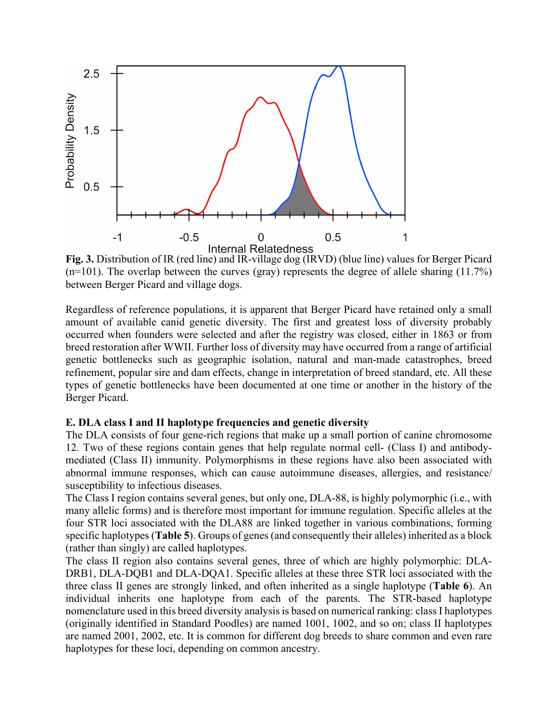

**Fig. 3.** Distribution of IR (red line) and IR-village dog (IRVD) (blue line) values for Berger Picard  $(n=101)$ . The overlap between the curves (gray) represents the degree of allele sharing (11.7%) between Berger Picard and village dogs.

Regardless of reference populations, it is apparent that Berger Picard have retained only a small amount of available canid genetic diversity. The first and greatest loss of diversity probably occurred when founders were selected and after the registry was closed, either in 1863 or from breed restoration after WWII. Further loss of diversity may have occurred from a range of artificial genetic bottlenecks such as geographic isolation, natural and man-made catastrophes, breed refinement, popular sire and dam effects, change in interpretation of breed standard, etc. All these types of genetic bottlenecks have been documented at one time or another in the history of the Berger Picard.

#### **E. DLA class I and II haplotype frequencies and genetic diversity**

The DLA consists of four gene-rich regions that make up a small portion of canine chromosome 12. Two of these regions contain genes that help regulate normal cell- (Class I) and antibodymediated (Class II) immunity. Polymorphisms in these regions have also been associated with abnormal immune responses, which can cause autoimmune diseases, allergies, and resistance/ susceptibility to infectious diseases.

The Class I region contains several genes, but only one, DLA-88, is highly polymorphic (i.e., with many allelic forms) and is therefore most important for immune regulation. Specific alleles at the four STR loci associated with the DLA88 are linked together in various combinations, forming specific haplotypes (**Table 5**). Groups of genes (and consequently their alleles) inherited as a block (rather than singly) are called haplotypes.

The class II region also contains several genes, three of which are highly polymorphic: DLA-DRB1, DLA-DQB1 and DLA-DQA1. Specific alleles at these three STR loci associated with the three class II genes are strongly linked, and often inherited as a single haplotype (**Table 6**). An individual inherits one haplotype from each of the parents. The STR-based haplotype nomenclature used in this breed diversity analysis is based on numerical ranking: class I haplotypes (originally identified in Standard Poodles) are named 1001, 1002, and so on; class II haplotypes are named 2001, 2002, etc. It is common for different dog breeds to share common and even rare haplotypes for these loci, depending on common ancestry.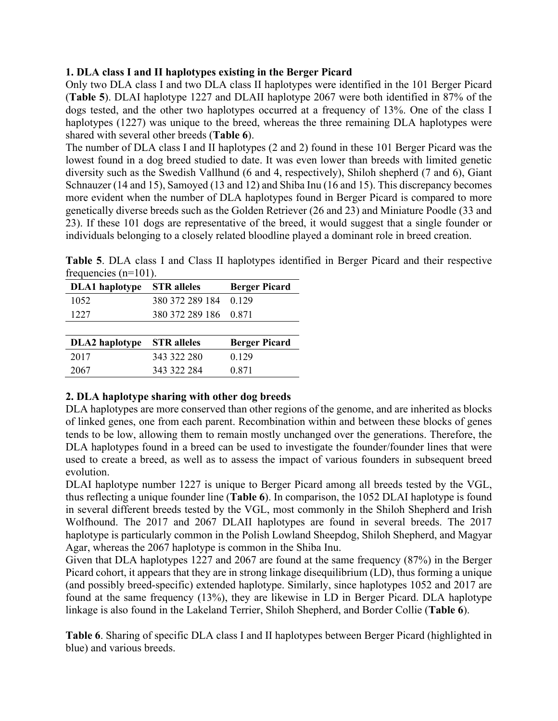## **1. DLA class I and II haplotypes existing in the Berger Picard**

Only two DLA class I and two DLA class II haplotypes were identified in the 101 Berger Picard (**Table 5**). DLAI haplotype 1227 and DLAII haplotype 2067 were both identified in 87% of the dogs tested, and the other two haplotypes occurred at a frequency of 13%. One of the class I haplotypes (1227) was unique to the breed, whereas the three remaining DLA haplotypes were shared with several other breeds (**Table 6**).

The number of DLA class I and II haplotypes (2 and 2) found in these 101 Berger Picard was the lowest found in a dog breed studied to date. It was even lower than breeds with limited genetic diversity such as the Swedish Vallhund (6 and 4, respectively), Shiloh shepherd (7 and 6), Giant Schnauzer (14 and 15), Samoyed (13 and 12) and Shiba Inu (16 and 15). This discrepancy becomes more evident when the number of DLA haplotypes found in Berger Picard is compared to more genetically diverse breeds such as the Golden Retriever (26 and 23) and Miniature Poodle (33 and 23). If these 101 dogs are representative of the breed, it would suggest that a single founder or individuals belonging to a closely related bloodline played a dominant role in breed creation.

**Table 5**. DLA class I and Class II haplotypes identified in Berger Picard and their respective frequencies (n=101).

| <b>DLA1</b> haplotype | <b>STR</b> alleles | <b>Berger Picard</b> |
|-----------------------|--------------------|----------------------|
| 1052                  | 380 372 289 184    | 0.129                |
| 1227                  | 380 372 289 186    | 0.871                |
|                       |                    |                      |
| <b>DLA2</b> haplotype | <b>STR</b> alleles | <b>Berger Picard</b> |
| 2017                  | 343 322 280        | 0.129                |
| 2067                  | 343 322 284        | 0.871                |

# **2. DLA haplotype sharing with other dog breeds**

DLA haplotypes are more conserved than other regions of the genome, and are inherited as blocks of linked genes, one from each parent. Recombination within and between these blocks of genes tends to be low, allowing them to remain mostly unchanged over the generations. Therefore, the DLA haplotypes found in a breed can be used to investigate the founder/founder lines that were used to create a breed, as well as to assess the impact of various founders in subsequent breed evolution.

DLAI haplotype number 1227 is unique to Berger Picard among all breeds tested by the VGL, thus reflecting a unique founder line (**Table 6**). In comparison, the 1052 DLAI haplotype is found in several different breeds tested by the VGL, most commonly in the Shiloh Shepherd and Irish Wolfhound. The 2017 and 2067 DLAII haplotypes are found in several breeds. The 2017 haplotype is particularly common in the Polish Lowland Sheepdog, Shiloh Shepherd, and Magyar Agar, whereas the 2067 haplotype is common in the Shiba Inu.

Given that DLA haplotypes 1227 and 2067 are found at the same frequency (87%) in the Berger Picard cohort, it appears that they are in strong linkage disequilibrium (LD), thus forming a unique (and possibly breed-specific) extended haplotype. Similarly, since haplotypes 1052 and 2017 are found at the same frequency (13%), they are likewise in LD in Berger Picard. DLA haplotype linkage is also found in the Lakeland Terrier, Shiloh Shepherd, and Border Collie (**Table 6**).

**Table 6**. Sharing of specific DLA class I and II haplotypes between Berger Picard (highlighted in blue) and various breeds.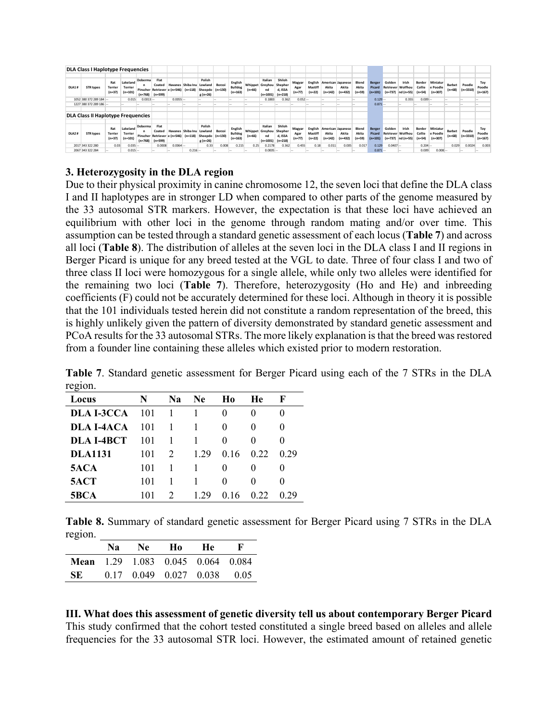|                                           | <b>DLA Class I Haplotype Frequencies</b> |                            |                                         |                                  |                                                             |            |                                        |                                        |        |                                        |          |                                                        |                                           |                            |                                |                                         |                                         |                            |                                    |                                                 |                                |                              |                                   |                    |                      |                            |
|-------------------------------------------|------------------------------------------|----------------------------|-----------------------------------------|----------------------------------|-------------------------------------------------------------|------------|----------------------------------------|----------------------------------------|--------|----------------------------------------|----------|--------------------------------------------------------|-------------------------------------------|----------------------------|--------------------------------|-----------------------------------------|-----------------------------------------|----------------------------|------------------------------------|-------------------------------------------------|--------------------------------|------------------------------|-----------------------------------|--------------------|----------------------|----------------------------|
| <b>DLA1#</b>                              | <b>STR types</b>                         | Rat<br>Terrier<br>$(n=37)$ | Lakeland<br><b>Terrier</b><br>$(n=101)$ | Doberma<br>Pinscher<br>$(n=768)$ | Flat<br>Coated<br>Retriever e (n=546)<br>$(n=599)$          |            | Havanes Shiba Inu Lowland<br>$(n=118)$ | Polish<br>Sheepdo (n=130)<br>$g(n=26)$ | Borzoi | English<br>Bulldog<br>$(n=163)$        | $(n=66)$ | Italian<br><b>Whippet Greyhou</b><br>nd<br>$(n=1001)$  | Shiloh<br>Shepher<br>d, ISSA<br>$(n=218)$ | Magyar<br>Agar<br>$(n=77)$ | English<br>Mastiff<br>$(n=22)$ | American Japanese<br>Akita<br>$(n=142)$ | Akita<br>$n = 432$                      | Blend<br>Akita<br>$(n=59)$ | <b>Berger</b><br>Picard<br>(n=101) | Golden<br><b>Retriever Wolfhou</b><br>$(n=737)$ | Irish<br>nd (n=55)             | Border<br>Collie<br>$(n=54)$ | Miniatur<br>e Poodle<br>$(n=307)$ | Barbet<br>$(n=68)$ | Poodle<br>$(n=3310)$ | Toy<br>Poodle<br>$(n=167)$ |
|                                           | 1052 380 372 289 184 --                  |                            | 0.015                                   | $0.0013 -$                       |                                                             | $0.0055 -$ |                                        |                                        |        |                                        |          | 0.1883                                                 | 0.362                                     | $0.052 -$                  |                                |                                         |                                         |                            | $0.129 -$                          |                                                 | 0.355                          | $0.009 -$                    |                                   |                    |                      |                            |
|                                           | 1227 380 372 289 186 --                  |                            |                                         |                                  |                                                             |            |                                        |                                        |        |                                        |          |                                                        |                                           |                            |                                |                                         |                                         |                            | $0.871 -$                          |                                                 |                                |                              |                                   |                    |                      |                            |
|                                           |                                          |                            |                                         |                                  |                                                             |            |                                        |                                        |        |                                        |          |                                                        |                                           |                            |                                |                                         |                                         |                            |                                    |                                                 |                                |                              |                                   |                    |                      |                            |
| <b>DLA Class II Haplotype Frequencies</b> |                                          |                            |                                         |                                  |                                                             |            |                                        |                                        |        |                                        |          |                                                        |                                           |                            |                                |                                         |                                         |                            |                                    |                                                 |                                |                              |                                   |                    |                      |                            |
| DLA2#                                     | <b>STR types</b>                         | Rat<br>Terrier<br>$(n=37)$ | Lakeland<br><b>Terrier</b><br>$(n=101)$ | Doberma<br>$(n=768)$             | Flat<br>Coated<br>Pinscher Retriever e (n=546)<br>$(n=599)$ |            | Havanes Shiba Inu Lowland<br>$(n=118)$ | Polish<br>Sheepdo (n=130)<br>$g(n=26)$ | Borzoi | English<br><b>Bulldog</b><br>$(n=163)$ | $(n=66)$ | Italian<br>Whippet Greyhou Shepher<br>nd<br>$(n=1001)$ | Shiloh<br>d, ISSA<br>$(n=218)$            | Magyar<br>Agar<br>$(n=77)$ | English<br>Mastiff<br>$(n=22)$ | Akita<br>$(n=142)$                      | American Japanese<br>Akita<br>$n = 432$ | Blend<br>Akita<br>$(n=59)$ | Berger<br>Picard<br>$(n=101)$      | Golden<br><b>Retriever Wolfhou</b>              | Irish<br>$(n=737)$ nd $(n=55)$ | Border<br>Collie<br>$(n=54)$ | Miniatur<br>e Poodle<br>$(n=307)$ | Barbet<br>$(n=68)$ | Poodle<br>$(n=3310)$ | Toy<br>Poodle<br>$(n=167)$ |
|                                           | 2017 343 322 280                         | 0.03                       | $0.035 -$                               |                                  | 0.0008                                                      | $0.0064 -$ |                                        | 0.33                                   | 0.008  | 0.215                                  | 0.25     | 0.2178                                                 | 0.362                                     | 0.455                      | 0.18                           | 0.011                                   | 0.005                                   | 0.017                      | 0.129                              | $0.0407 -$                                      |                                | $0.204 -$                    |                                   | 0.029              | 0.0024               | 0.003                      |
|                                           | 2067 343 322 284                         |                            | $0.015 -$                               |                                  | --                                                          |            | $0.216 -$                              |                                        |        |                                        |          | $0.0005 -$                                             |                                           | -                          |                                |                                         |                                         |                            | $0.871 -$                          |                                                 |                                | 0.009                        | $0.008 -$                         |                    |                      |                            |

## **3. Heterozygosity in the DLA region**

Due to their physical proximity in canine chromosome 12, the seven loci that define the DLA class I and II haplotypes are in stronger LD when compared to other parts of the genome measured by the 33 autosomal STR markers. However, the expectation is that these loci have achieved an equilibrium with other loci in the genome through random mating and/or over time. This assumption can be tested through a standard genetic assessment of each locus (**Table 7**) and across all loci (**Table 8**). The distribution of alleles at the seven loci in the DLA class I and II regions in Berger Picard is unique for any breed tested at the VGL to date. Three of four class I and two of three class II loci were homozygous for a single allele, while only two alleles were identified for the remaining two loci (**Table 7**). Therefore, heterozygosity (Ho and He) and inbreeding coefficients (F) could not be accurately determined for these loci. Although in theory it is possible that the 101 individuals tested herein did not constitute a random representation of the breed, this is highly unlikely given the pattern of diversity demonstrated by standard genetic assessment and PCoA results for the 33 autosomal STRs. The more likely explanation is that the breed was restored from a founder line containing these alleles which existed prior to modern restoration.

**Table 7**. Standard genetic assessment for Berger Picard using each of the 7 STRs in the DLA region.

| Locus          | N   | Na | Ne.  | H <sub>0</sub> | He                | F                 |
|----------------|-----|----|------|----------------|-------------------|-------------------|
| DLA I-3CCA     | 101 |    |      | $_{0}$         | $\mathbf{\Omega}$ | $_{0}$            |
| DLA I-4ACA     | 101 |    |      | $^{(1)}$       | $\Omega$          | $\Omega$          |
| DLA I-4BCT     | 101 |    |      | $\Omega$       | $\Omega$          | $\mathbf{\Omega}$ |
| <b>DLA1131</b> | 101 | 2  | 1.29 | 0.16           | 0.22              | 0.29              |
| 5ACA           | 101 |    |      | $\Omega$       | $\mathbf{\Omega}$ | $\mathbf{\Omega}$ |
| 5ACT           | 101 |    |      | $\Omega$       | $\Omega$          |                   |
| <b>5BCA</b>    | 101 |    | 1.29 | 0.16           | 0.22              | 0.29              |

**Table 8.** Summary of standard genetic assessment for Berger Picard using 7 STRs in the DLA region.

|     | Na I | Ne – | - Ho | -He                                      |  |
|-----|------|------|------|------------------------------------------|--|
|     |      |      |      | <b>Mean</b> 1.29 1.083 0.045 0.064 0.084 |  |
| SE. |      |      |      | $0.17$ $0.049$ $0.027$ $0.038$ $0.05$    |  |

**III. What does this assessment of genetic diversity tell us about contemporary Berger Picard** This study confirmed that the cohort tested constituted a single breed based on alleles and allele frequencies for the 33 autosomal STR loci. However, the estimated amount of retained genetic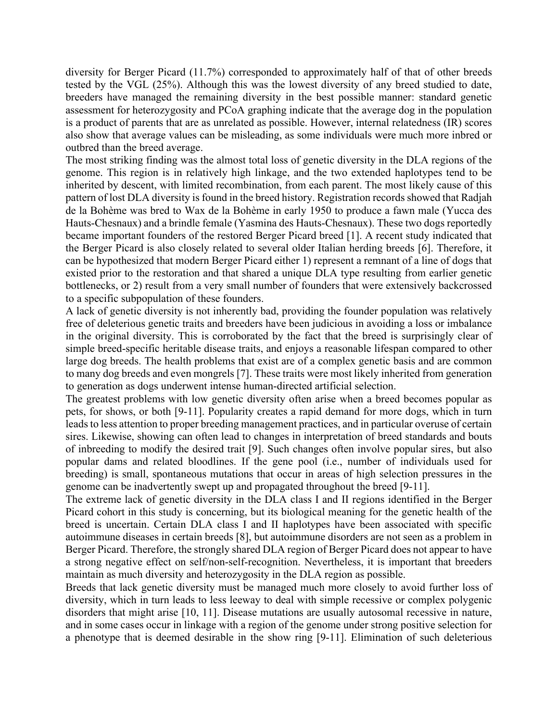diversity for Berger Picard (11.7%) corresponded to approximately half of that of other breeds tested by the VGL (25%). Although this was the lowest diversity of any breed studied to date, breeders have managed the remaining diversity in the best possible manner: standard genetic assessment for heterozygosity and PCoA graphing indicate that the average dog in the population is a product of parents that are as unrelated as possible. However, internal relatedness (IR) scores also show that average values can be misleading, as some individuals were much more inbred or outbred than the breed average.

The most striking finding was the almost total loss of genetic diversity in the DLA regions of the genome. This region is in relatively high linkage, and the two extended haplotypes tend to be inherited by descent, with limited recombination, from each parent. The most likely cause of this pattern of lost DLA diversity is found in the breed history. Registration records showed that Radjah de la Bohème was bred to Wax de la Bohème in early 1950 to produce a fawn male (Yucca des Hauts-Chesnaux) and a brindle female (Yasmina des Hauts-Chesnaux). These two dogs reportedly became important founders of the restored Berger Picard breed [1]. A recent study indicated that the Berger Picard is also closely related to several older Italian herding breeds [6]. Therefore, it can be hypothesized that modern Berger Picard either 1) represent a remnant of a line of dogs that existed prior to the restoration and that shared a unique DLA type resulting from earlier genetic bottlenecks, or 2) result from a very small number of founders that were extensively backcrossed to a specific subpopulation of these founders.

A lack of genetic diversity is not inherently bad, providing the founder population was relatively free of deleterious genetic traits and breeders have been judicious in avoiding a loss or imbalance in the original diversity. This is corroborated by the fact that the breed is surprisingly clear of simple breed-specific heritable disease traits, and enjoys a reasonable lifespan compared to other large dog breeds. The health problems that exist are of a complex genetic basis and are common to many dog breeds and even mongrels [7]. These traits were most likely inherited from generation to generation as dogs underwent intense human-directed artificial selection.

The greatest problems with low genetic diversity often arise when a breed becomes popular as pets, for shows, or both [9-11]. Popularity creates a rapid demand for more dogs, which in turn leads to less attention to proper breeding management practices, and in particular overuse of certain sires. Likewise, showing can often lead to changes in interpretation of breed standards and bouts of inbreeding to modify the desired trait [9]. Such changes often involve popular sires, but also popular dams and related bloodlines. If the gene pool (i.e., number of individuals used for breeding) is small, spontaneous mutations that occur in areas of high selection pressures in the genome can be inadvertently swept up and propagated throughout the breed [9-11].

The extreme lack of genetic diversity in the DLA class I and II regions identified in the Berger Picard cohort in this study is concerning, but its biological meaning for the genetic health of the breed is uncertain. Certain DLA class I and II haplotypes have been associated with specific autoimmune diseases in certain breeds [8], but autoimmune disorders are not seen as a problem in Berger Picard. Therefore, the strongly shared DLA region of Berger Picard does not appear to have a strong negative effect on self/non-self-recognition. Nevertheless, it is important that breeders maintain as much diversity and heterozygosity in the DLA region as possible.

Breeds that lack genetic diversity must be managed much more closely to avoid further loss of diversity, which in turn leads to less leeway to deal with simple recessive or complex polygenic disorders that might arise [10, 11]. Disease mutations are usually autosomal recessive in nature, and in some cases occur in linkage with a region of the genome under strong positive selection for a phenotype that is deemed desirable in the show ring [9-11]. Elimination of such deleterious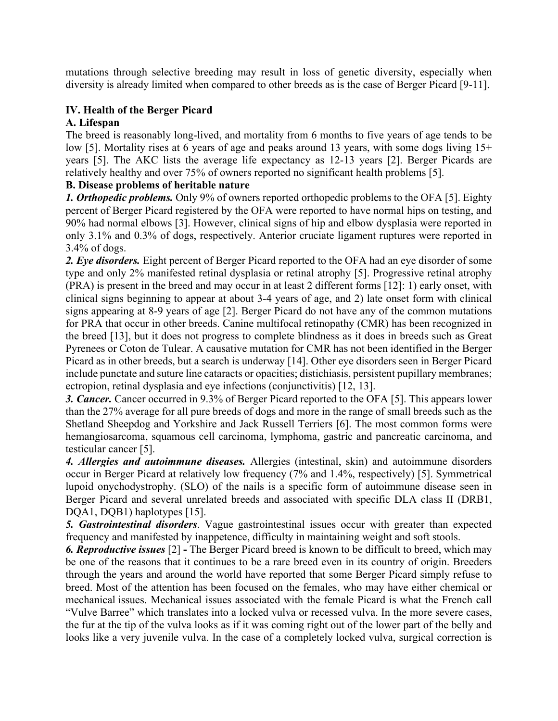mutations through selective breeding may result in loss of genetic diversity, especially when diversity is already limited when compared to other breeds as is the case of Berger Picard [9-11].

# **IV. Health of the Berger Picard**

# **A. Lifespan**

The breed is reasonably long-lived, and mortality from 6 months to five years of age tends to be low [5]. Mortality rises at 6 years of age and peaks around 13 years, with some dogs living 15+ years [5]. The AKC lists the average life expectancy as 12-13 years [2]. Berger Picards are relatively healthy and over 75% of owners reported no significant health problems [5].

# **B. Disease problems of heritable nature**

*1. Orthopedic problems.* Only 9% of owners reported orthopedic problems to the OFA [5]. Eighty percent of Berger Picard registered by the OFA were reported to have normal hips on testing, and 90% had normal elbows [3]. However, clinical signs of hip and elbow dysplasia were reported in only 3.1% and 0.3% of dogs, respectively. Anterior cruciate ligament ruptures were reported in 3.4% of dogs.

*2. Eye disorders.* Eight percent of Berger Picard reported to the OFA had an eye disorder of some type and only 2% manifested retinal dysplasia or retinal atrophy [5]. Progressive retinal atrophy (PRA) is present in the breed and may occur in at least 2 different forms [12]: 1) early onset, with clinical signs beginning to appear at about 3-4 years of age, and 2) late onset form with clinical signs appearing at 8-9 years of age [2]. Berger Picard do not have any of the common mutations for PRA that occur in other breeds. Canine multifocal retinopathy (CMR) has been recognized in the breed [13], but it does not progress to complete blindness as it does in breeds such as Great Pyrenees or Coton de Tulear. A causative mutation for CMR has not been identified in the Berger Picard as in other breeds, but a search is underway [14]. Other eye disorders seen in Berger Picard include punctate and suture line cataracts or opacities; distichiasis, persistent pupillary membranes; ectropion, retinal dysplasia and eye infections (conjunctivitis) [12, 13].

*3. Cancer.* Cancer occurred in 9.3% of Berger Picard reported to the OFA [5]. This appears lower than the 27% average for all pure breeds of dogs and more in the range of small breeds such as the Shetland Sheepdog and Yorkshire and Jack Russell Terriers [6]. The most common forms were hemangiosarcoma, squamous cell carcinoma, lymphoma, gastric and pancreatic carcinoma, and testicular cancer [5].

*4. Allergies and autoimmune diseases.* Allergies (intestinal, skin) and autoimmune disorders occur in Berger Picard at relatively low frequency (7% and 1.4%, respectively) [5]. Symmetrical lupoid onychodystrophy. (SLO) of the nails is a specific form of autoimmune disease seen in Berger Picard and several unrelated breeds and associated with specific DLA class II (DRB1, DQA1, DQB1) haplotypes [15].

*5. Gastrointestinal disorders*. Vague gastrointestinal issues occur with greater than expected frequency and manifested by inappetence, difficulty in maintaining weight and soft stools.

*6. Reproductive issues* [2] **-** The Berger Picard breed is known to be difficult to breed, which may be one of the reasons that it continues to be a rare breed even in its country of origin. Breeders through the years and around the world have reported that some Berger Picard simply refuse to breed. Most of the attention has been focused on the females, who may have either chemical or mechanical issues. Mechanical issues associated with the female Picard is what the French call "Vulve Barree" which translates into a locked vulva or recessed vulva. In the more severe cases, the fur at the tip of the vulva looks as if it was coming right out of the lower part of the belly and looks like a very juvenile vulva. In the case of a completely locked vulva, surgical correction is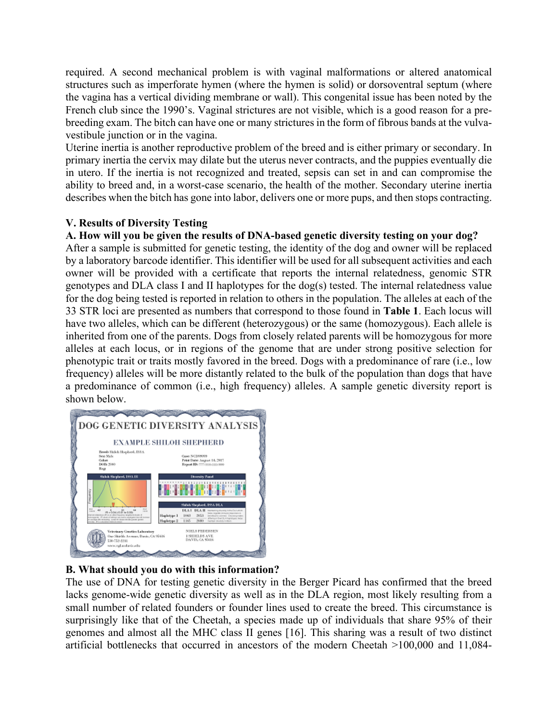required. A second mechanical problem is with vaginal malformations or altered anatomical structures such as imperforate hymen (where the hymen is solid) or dorsoventral septum (where the vagina has a vertical dividing membrane or wall). This congenital issue has been noted by the French club since the 1990's. Vaginal strictures are not visible, which is a good reason for a prebreeding exam. The bitch can have one or many strictures in the form of fibrous bands at the vulvavestibule junction or in the vagina.

Uterine inertia is another reproductive problem of the breed and is either primary or secondary. In primary inertia the cervix may dilate but the uterus never contracts, and the puppies eventually die in utero. If the inertia is not recognized and treated, sepsis can set in and can compromise the ability to breed and, in a worst-case scenario, the health of the mother. Secondary uterine inertia describes when the bitch has gone into labor, delivers one or more pups, and then stops contracting.

# **V. Results of Diversity Testing**

## **A. How will you be given the results of DNA-based genetic diversity testing on your dog?**

After a sample is submitted for genetic testing, the identity of the dog and owner will be replaced by a laboratory barcode identifier. This identifier will be used for all subsequent activities and each owner will be provided with a certificate that reports the internal relatedness, genomic STR genotypes and DLA class I and II haplotypes for the dog(s) tested. The internal relatedness value for the dog being tested is reported in relation to others in the population. The alleles at each of the 33 STR loci are presented as numbers that correspond to those found in **Table 1**. Each locus will have two alleles, which can be different (heterozygous) or the same (homozygous). Each allele is inherited from one of the parents. Dogs from closely related parents will be homozygous for more alleles at each locus, or in regions of the genome that are under strong positive selection for phenotypic trait or traits mostly favored in the breed. Dogs with a predominance of rare (i.e., low frequency) alleles will be more distantly related to the bulk of the population than dogs that have a predominance of common (i.e., high frequency) alleles. A sample genetic diversity report is shown below.



#### **B. What should you do with this information?**

The use of DNA for testing genetic diversity in the Berger Picard has confirmed that the breed lacks genome-wide genetic diversity as well as in the DLA region, most likely resulting from a small number of related founders or founder lines used to create the breed. This circumstance is surprisingly like that of the Cheetah, a species made up of individuals that share 95% of their genomes and almost all the MHC class II genes [16]. This sharing was a result of two distinct artificial bottlenecks that occurred in ancestors of the modern Cheetah >100,000 and 11,084-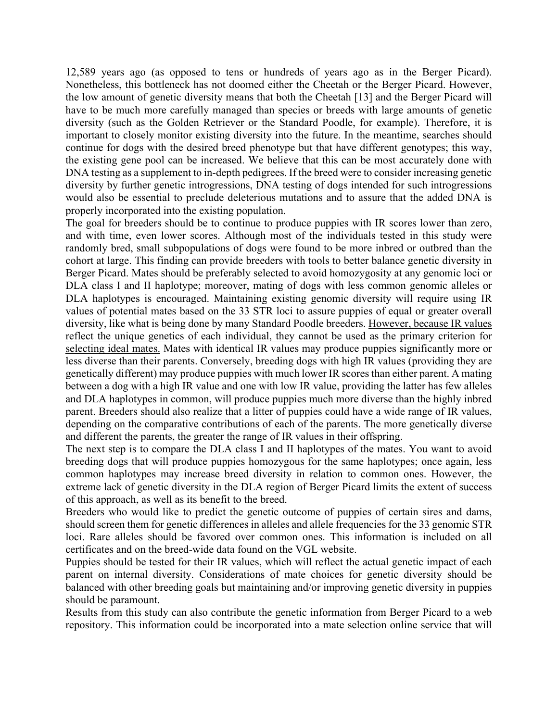12,589 years ago (as opposed to tens or hundreds of years ago as in the Berger Picard). Nonetheless, this bottleneck has not doomed either the Cheetah or the Berger Picard. However, the low amount of genetic diversity means that both the Cheetah [13] and the Berger Picard will have to be much more carefully managed than species or breeds with large amounts of genetic diversity (such as the Golden Retriever or the Standard Poodle, for example). Therefore, it is important to closely monitor existing diversity into the future. In the meantime, searches should continue for dogs with the desired breed phenotype but that have different genotypes; this way, the existing gene pool can be increased. We believe that this can be most accurately done with DNA testing as a supplement to in-depth pedigrees. If the breed were to consider increasing genetic diversity by further genetic introgressions, DNA testing of dogs intended for such introgressions would also be essential to preclude deleterious mutations and to assure that the added DNA is properly incorporated into the existing population.

The goal for breeders should be to continue to produce puppies with IR scores lower than zero, and with time, even lower scores. Although most of the individuals tested in this study were randomly bred, small subpopulations of dogs were found to be more inbred or outbred than the cohort at large. This finding can provide breeders with tools to better balance genetic diversity in Berger Picard. Mates should be preferably selected to avoid homozygosity at any genomic loci or DLA class I and II haplotype; moreover, mating of dogs with less common genomic alleles or DLA haplotypes is encouraged. Maintaining existing genomic diversity will require using IR values of potential mates based on the 33 STR loci to assure puppies of equal or greater overall diversity, like what is being done by many Standard Poodle breeders. However, because IR values reflect the unique genetics of each individual, they cannot be used as the primary criterion for selecting ideal mates. Mates with identical IR values may produce puppies significantly more or less diverse than their parents. Conversely, breeding dogs with high IR values (providing they are genetically different) may produce puppies with much lower IR scores than either parent. A mating between a dog with a high IR value and one with low IR value, providing the latter has few alleles and DLA haplotypes in common, will produce puppies much more diverse than the highly inbred parent. Breeders should also realize that a litter of puppies could have a wide range of IR values, depending on the comparative contributions of each of the parents. The more genetically diverse and different the parents, the greater the range of IR values in their offspring.

The next step is to compare the DLA class I and II haplotypes of the mates. You want to avoid breeding dogs that will produce puppies homozygous for the same haplotypes; once again, less common haplotypes may increase breed diversity in relation to common ones. However, the extreme lack of genetic diversity in the DLA region of Berger Picard limits the extent of success of this approach, as well as its benefit to the breed.

Breeders who would like to predict the genetic outcome of puppies of certain sires and dams, should screen them for genetic differences in alleles and allele frequencies for the 33 genomic STR loci. Rare alleles should be favored over common ones. This information is included on all certificates and on the breed-wide data found on the VGL website.

Puppies should be tested for their IR values, which will reflect the actual genetic impact of each parent on internal diversity. Considerations of mate choices for genetic diversity should be balanced with other breeding goals but maintaining and/or improving genetic diversity in puppies should be paramount.

Results from this study can also contribute the genetic information from Berger Picard to a web repository. This information could be incorporated into a mate selection online service that will